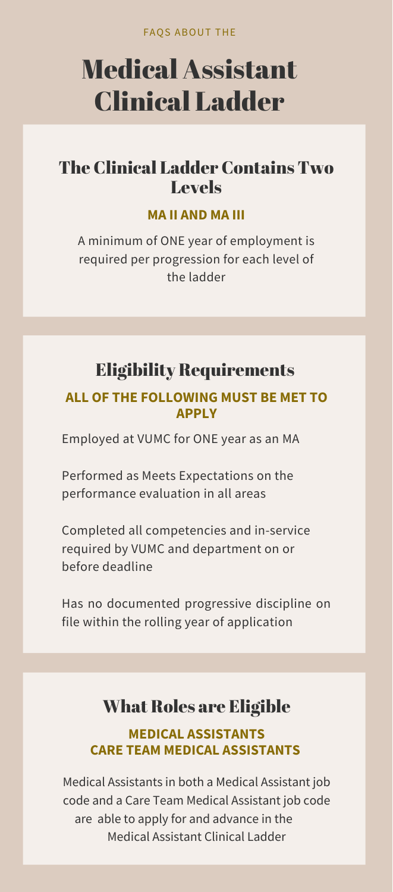FAQS ABOUT THE

# Medical Assistant Clinical Ladder

## The Clinical Ladder Contains Two Levels

### **MA II AND MA III**

A minimum of ONE year of employment is required per progression for each level of the ladder

# Eligibility Requirements

### **ALL OF THE FOLLOWING MUST BE MET TO APPLY**

Employed at VUMC for ONE year as an MA

Performed as Meets Expectations on the performance evaluation in all areas

Completed all competencies and in-service

required by VUMC and department on or before deadline

Has no documented progressive discipline on file within the rolling year of application

### What Roles are Eligible **MEDICAL ASSISTANTS CARE TEAM MEDICAL ASSISTANTS**

Medical Assistants in both a Medical Assistant job code and a Care Team Medical Assistant job code are able to apply for and advance in the Medical Assistant Clinical Ladder